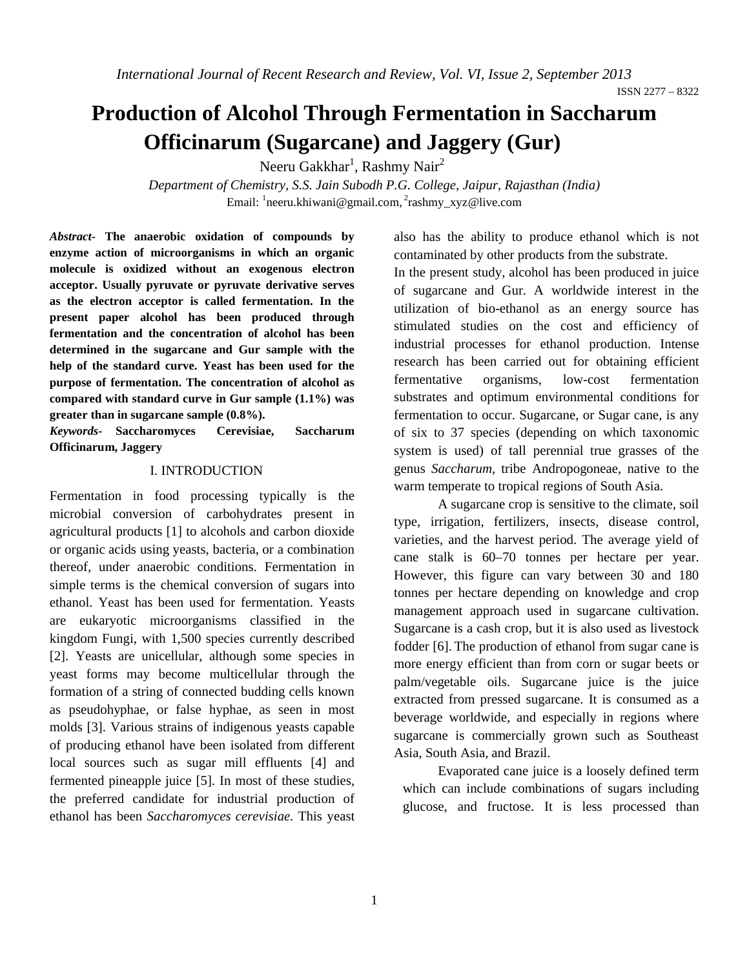ISSN 2277 – 8322

# **Production of Alcohol Through Fermentation in Saccharum Officinarum (Sugarcane) and Jaggery (Gur)**

Neeru Gakkhar $^{\rm l}$ , Rashmy Nair $^{\rm 2}$ 

*Department of Chemistry, S.S. Jain Subodh P.G. College, Jaipur, Rajasthan (India)* Email: <sup>1</sup>neeru.khiwani@gmail.com, <sup>2</sup>rashmy\_xyz@live.com

*Abstract-* **The anaerobic oxidation of compounds by enzyme action of microorganisms in which an organic molecule is oxidized without an exogenous electron acceptor. Usually pyruvate or pyruvate derivative serves as the electron acceptor is called fermentation. In the present paper alcohol has been produced through fermentation and the concentration of alcohol has been determined in the sugarcane and Gur sample with the help of the standard curve. Yeast has been used for the purpose of fermentation. The concentration of alcohol as compared with standard curve in Gur sample (1.1%) was greater than in sugarcane sample (0.8%).**

*Keywords-* **Saccharomyces Cerevisiae, Saccharum Officinarum, Jaggery**

# I. INTRODUCTION

Fermentation in food processing typically is the microbial conversion of carbohydrates present in agricultural products [1] to alcohols and carbon dioxide or organic acids using yeasts, bacteria, or a combination thereof, under anaerobic conditions. Fermentation in simple terms is the chemical conversion of sugars into ethanol. Yeast has been used for fermentation. Yeasts are eukaryotic microorganisms classified in the kingdom Fungi, with 1,500 species currently described [2]. Yeasts are unicellular, although some species in yeast forms may become multicellular through the formation of a string of connected budding cells known as pseudohyphae, or false hyphae, as seen in most molds [3]. Various strains of indigenous yeasts capable of producing ethanol have been isolated from different local sources such as sugar mill effluents [4] and fermented pineapple juice [5]. In most of these studies, the preferred candidate for industrial production of ethanol has been *Saccharomyces cerevisiae.* This yeast

also has the ability to produce ethanol which is not contaminated by other products from the substrate.

In the present study, alcohol has been produced in juice of sugarcane and Gur. A worldwide interest in the utilization of bio-ethanol as an energy source has stimulated studies on the cost and efficiency of industrial processes for ethanol production. Intense research has been carried out for obtaining efficient fermentative organisms, low-cost fermentation substrates and optimum environmental conditions for fermentation to occur. Sugarcane, or Sugar cane, is any of six to 37 species (depending on which taxonomic system is used) of tall perennial true grasses of the genus *Saccharum*, tribe Andropogoneae, native to the warm temperate to tropical regions of South Asia.

A sugarcane crop is sensitive to the climate, soil type, irrigation, fertilizers, insects, disease control, varieties, and the harvest period. The average yield of cane stalk is 60–70 tonnes per hectare per year. However, this figure can vary between 30 and 180 tonnes per hectare depending on knowledge and crop management approach used in sugarcane cultivation. Sugarcane is a cash crop, but it is also used as livestock fodder [6]. The production of ethanol from sugar cane is more energy efficient than from corn or sugar beets or palm/vegetable oils. Sugarcane juice is the juice extracted from pressed sugarcane. It is consumed as a beverage worldwide, and especially in regions where sugarcane is commercially grown such as Southeast Asia, South Asia, and Brazil.

Evaporated cane juice is a loosely defined term which can include combinations of sugars including glucose, and fructose. It is less processed than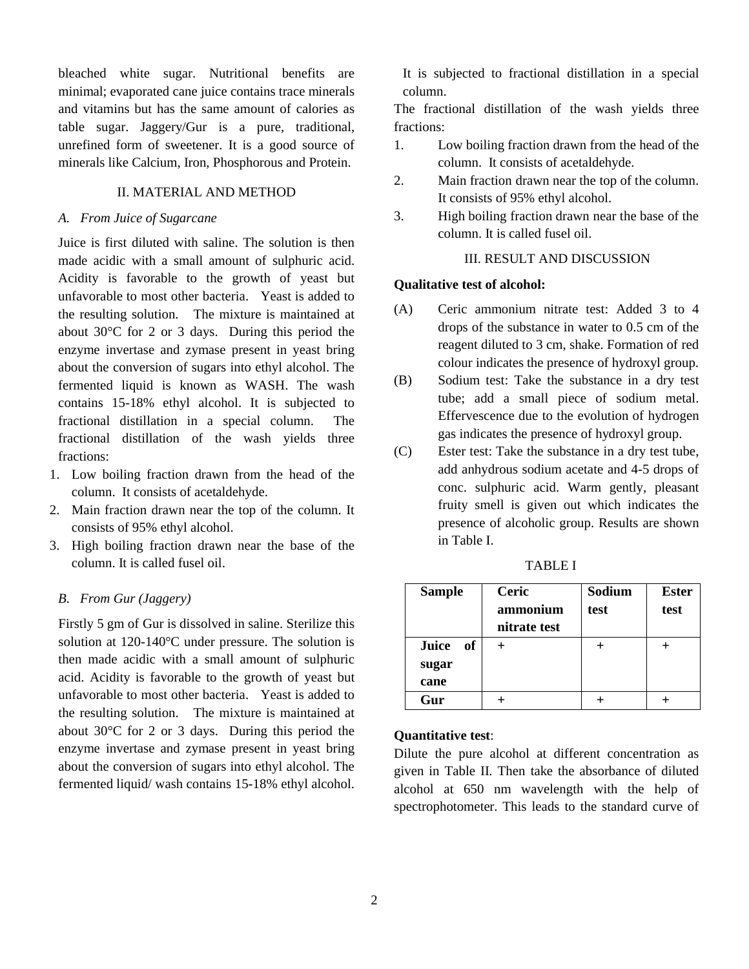bleached white sugar. Nutritional benefits are minimal; evaporated cane juice contains trace minerals and vitamins but has the same amount of calories as table sugar. Jaggery/Gur is a pure, traditional, unrefined form of sweetener. It is a good source of minerals like Calcium, Iron, Phosphorous and Protein.

## II. MATERIAL AND METHOD

#### *A. From Juice of Sugarcane*

Juice is first diluted with saline. The solution is then made acidic with a small amount of sulphuric acid. Acidity is favorable to the growth of yeast but unfavorable to most other bacteria. Yeast is added to the resulting solution. The mixture is maintained at about 30°C for 2 or 3 days. During this period the enzyme invertase and zymase present in yeast bring about the conversion of sugars into ethyl alcohol. The fermented liquid is known as WASH. The wash contains 15-18% ethyl alcohol. It is subjected to fractional distillation in a special column. The fractional distillation of the wash yields three fractions:

- 1. Low boiling fraction drawn from the head of the column. It consists of acetaldehyde.
- 2. Main fraction drawn near the top of the column. It consists of 95% ethyl alcohol.
- 3. High boiling fraction drawn near the base of the column. It is called fusel oil.

# *B. From Gur (Jaggery)*

Firstly 5 gm of Gur is dissolved in saline. Sterilize this solution at 120-140°C under pressure. The solution is then made acidic with a small amount of sulphuric acid. Acidity is favorable to the growth of yeast but unfavorable to most other bacteria. Yeast is added to the resulting solution. The mixture is maintained at about 30°C for 2 or 3 days. During this period the enzyme invertase and zymase present in yeast bring about the conversion of sugars into ethyl alcohol. The fermented liquid/ wash contains 15-18% ethyl alcohol.

It is subjected to fractional distillation in a special column.

The fractional distillation of the wash yields three fractions:

- 1. Low boiling fraction drawn from the head of the column. It consists of acetaldehyde.
- 2. Main fraction drawn near the top of the column. It consists of 95% ethyl alcohol.
- 3. High boiling fraction drawn near the base of the column. It is called fusel oil.

# III. RESULT AND DISCUSSION

#### **Qualitative test of alcohol:**

- (A) Ceric ammonium nitrate test: Added 3 to 4 drops of the substance in water to 0.5 cm of the reagent diluted to 3 cm, shake. Formation of red colour indicates the presence of hydroxyl group.
- (B) Sodium test: Take the substance in a dry test tube; add a small piece of sodium metal. Effervescence due to the evolution of hydrogen gas indicates the presence of hydroxyl group.
- (C) Ester test: Take the substance in a dry test tube, add anhydrous sodium acetate and 4-5 drops of conc. sulphuric acid. Warm gently, pleasant fruity smell is given out which indicates the presence of alcoholic group. Results are shown in Table I.

| <b>Sample</b>          | Ceric<br>ammonium<br>nitrate test | Sodium<br>test | <b>Ester</b><br>test |
|------------------------|-----------------------------------|----------------|----------------------|
| Juice<br>- of<br>sugar |                                   |                |                      |
| cane                   |                                   |                |                      |
| Gur                    |                                   |                |                      |

TABLE I

### **Quantitative test**:

Dilute the pure alcohol at different concentration as given in Table II. Then take the absorbance of diluted alcohol at 650 nm wavelength with the help of spectrophotometer. This leads to the standard curve of